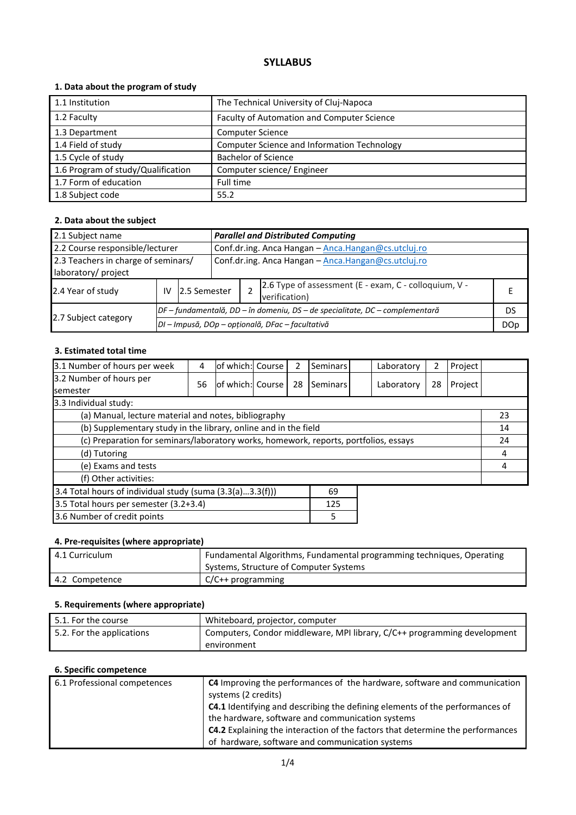# **SYLLABUS**

# **1. Data about the program of study**

| 1.1 Institution                    | The Technical University of Cluj-Napoca     |
|------------------------------------|---------------------------------------------|
| 1.2 Faculty                        | Faculty of Automation and Computer Science  |
| 1.3 Department                     | <b>Computer Science</b>                     |
| 1.4 Field of study                 | Computer Science and Information Technology |
| 1.5 Cycle of study                 | <b>Bachelor of Science</b>                  |
| 1.6 Program of study/Qualification | Computer science/ Engineer                  |
| 1.7 Form of education              | Full time                                   |
| 1.8 Subject code                   | 55.2                                        |

# **2. Data about the subject**

| 2.1 Subject name                                           |    |                                                                              |                                                     | <b>Parallel and Distributed Computing</b> |                                                                        |  |  |  |
|------------------------------------------------------------|----|------------------------------------------------------------------------------|-----------------------------------------------------|-------------------------------------------|------------------------------------------------------------------------|--|--|--|
| 2.2 Course responsible/lecturer                            |    |                                                                              | Conf.dr.ing. Anca Hangan - Anca.Hangan@cs.utcluj.ro |                                           |                                                                        |  |  |  |
| 2.3 Teachers in charge of seminars/<br>laboratory/ project |    |                                                                              | Conf.dr.ing. Anca Hangan - Anca.Hangan@cs.utcluj.ro |                                           |                                                                        |  |  |  |
| 2.4 Year of study                                          | IV |                                                                              | 12.5 Semester                                       |                                           | 2.6 Type of assessment (E - exam, C - colloquium, V -<br>verification) |  |  |  |
|                                                            |    | DF – fundamentală, DD – în domeniu, DS – de specialitate, DC – complementară |                                                     |                                           | DS                                                                     |  |  |  |
| 2.7 Subject category                                       |    | DI - Impusă, DOp - opțională, DFac - facultativă                             |                                                     |                                           |                                                                        |  |  |  |

#### **3. Estimated total time**

| 3.1 Number of hours per week                                                         | 4  | of which: Course |  | 2  | Seminars |  | Laboratory | 2  | Project |    |
|--------------------------------------------------------------------------------------|----|------------------|--|----|----------|--|------------|----|---------|----|
| 3.2 Number of hours per<br><b>semester</b>                                           | 56 | of which: Course |  | 28 | Seminars |  | Laboratory | 28 | Project |    |
| 3.3 Individual study:                                                                |    |                  |  |    |          |  |            |    |         |    |
| (a) Manual, lecture material and notes, bibliography                                 |    |                  |  |    |          |  |            |    |         | 23 |
| (b) Supplementary study in the library, online and in the field                      |    |                  |  |    |          |  | 14         |    |         |    |
| (c) Preparation for seminars/laboratory works, homework, reports, portfolios, essays |    |                  |  |    |          |  | 24         |    |         |    |
| (d) Tutoring                                                                         |    |                  |  |    |          |  | 4          |    |         |    |
| (e) Exams and tests                                                                  |    |                  |  |    |          |  | 4          |    |         |    |
| (f) Other activities:                                                                |    |                  |  |    |          |  |            |    |         |    |
| 3.4 Total hours of individual study (suma (3.3(a)3.3(f)))<br>69                      |    |                  |  |    |          |  |            |    |         |    |
| 3.5 Total hours per semester (3.2+3.4)<br>125                                        |    |                  |  |    |          |  |            |    |         |    |
| 3.6 Number of credit points<br>5                                                     |    |                  |  |    |          |  |            |    |         |    |

# **4. Pre-requisites (where appropriate)**

| 4.1 Curriculum | Fundamental Algorithms, Fundamental programming techniques, Operating |
|----------------|-----------------------------------------------------------------------|
|                | Systems, Structure of Computer Systems                                |
| 4.2 Competence | $C/C++$ programming                                                   |

# **5. Requirements (where appropriate)**

| $\mid$ 5.1. For the course | Whiteboard, projector, computer                                          |
|----------------------------|--------------------------------------------------------------------------|
| 5.2. For the applications  | Computers, Condor middleware, MPI library, C/C++ programming development |
|                            | environment                                                              |

#### **6. Specific competence**

| 6.1 Professional competences | <b>C4</b> Improving the performances of the hardware, software and communication<br>systems (2 credits)                                  |
|------------------------------|------------------------------------------------------------------------------------------------------------------------------------------|
|                              | <b>C4.1</b> Identifying and describing the defining elements of the performances of<br>the hardware, software and communication systems  |
|                              | <b>C4.2</b> Explaining the interaction of the factors that determine the performances<br>of hardware, software and communication systems |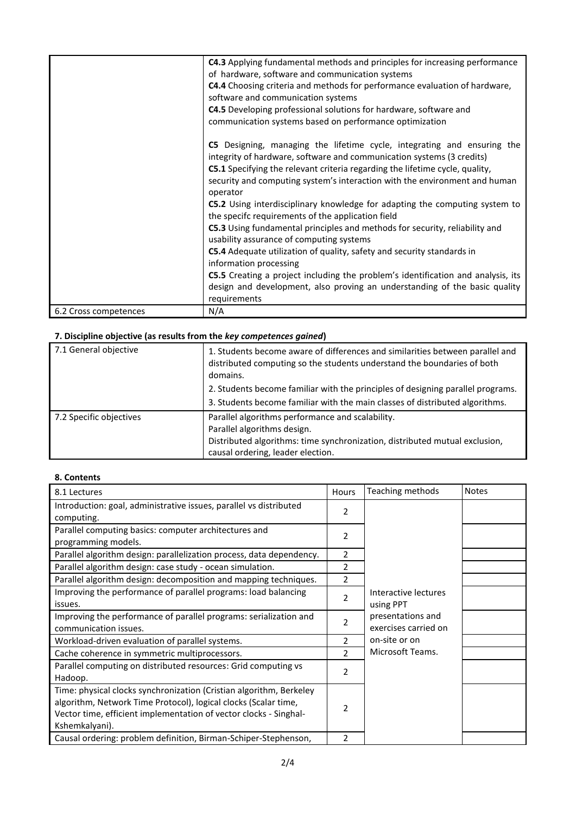|                       | C4.3 Applying fundamental methods and principles for increasing performance         |
|-----------------------|-------------------------------------------------------------------------------------|
|                       | of hardware, software and communication systems                                     |
|                       | C4.4 Choosing criteria and methods for performance evaluation of hardware,          |
|                       |                                                                                     |
|                       | software and communication systems                                                  |
|                       | C4.5 Developing professional solutions for hardware, software and                   |
|                       | communication systems based on performance optimization                             |
|                       |                                                                                     |
|                       | C5 Designing, managing the lifetime cycle, integrating and ensuring the             |
|                       |                                                                                     |
|                       | integrity of hardware, software and communication systems (3 credits)               |
|                       | <b>C5.1</b> Specifying the relevant criteria regarding the lifetime cycle, quality, |
|                       | security and computing system's interaction with the environment and human          |
|                       | operator                                                                            |
|                       | C5.2 Using interdisciplinary knowledge for adapting the computing system to         |
|                       | the specifc requirements of the application field                                   |
|                       |                                                                                     |
|                       | C5.3 Using fundamental principles and methods for security, reliability and         |
|                       | usability assurance of computing systems                                            |
|                       | C5.4 Adequate utilization of quality, safety and security standards in              |
|                       | information processing                                                              |
|                       | C5.5 Creating a project including the problem's identification and analysis, its    |
|                       | design and development, also proving an understanding of the basic quality          |
|                       |                                                                                     |
|                       | requirements                                                                        |
| 6.2 Cross competences | N/A                                                                                 |

# **7. Discipline objective (as results from the** *key competences gained***)**

| 7.1 General objective   | 1. Students become aware of differences and similarities between parallel and<br>distributed computing so the students understand the boundaries of both<br>domains. |
|-------------------------|----------------------------------------------------------------------------------------------------------------------------------------------------------------------|
|                         | 2. Students become familiar with the principles of designing parallel programs.                                                                                      |
|                         | 3. Students become familiar with the main classes of distributed algorithms.                                                                                         |
| 7.2 Specific objectives | Parallel algorithms performance and scalability.                                                                                                                     |
|                         | Parallel algorithms design.                                                                                                                                          |
|                         | Distributed algorithms: time synchronization, distributed mutual exclusion,                                                                                          |
|                         | causal ordering, leader election.                                                                                                                                    |

# **8. Contents**

| 8.1 Lectures                                                                                                                                                                                                                  | Hours          | Teaching methods                          | <b>Notes</b> |
|-------------------------------------------------------------------------------------------------------------------------------------------------------------------------------------------------------------------------------|----------------|-------------------------------------------|--------------|
| Introduction: goal, administrative issues, parallel vs distributed<br>computing.                                                                                                                                              | 2              |                                           |              |
| Parallel computing basics: computer architectures and<br>programming models.                                                                                                                                                  | 2              |                                           |              |
| Parallel algorithm design: parallelization process, data dependency.                                                                                                                                                          | 2              |                                           |              |
| Parallel algorithm design: case study - ocean simulation.                                                                                                                                                                     | 2              |                                           |              |
| Parallel algorithm design: decomposition and mapping techniques.                                                                                                                                                              | $\overline{2}$ |                                           |              |
| Improving the performance of parallel programs: load balancing<br>issues.                                                                                                                                                     | 2              | Interactive lectures<br>using PPT         |              |
| Improving the performance of parallel programs: serialization and<br>communication issues.                                                                                                                                    | $\mathfrak{p}$ | presentations and<br>exercises carried on |              |
| Workload-driven evaluation of parallel systems.                                                                                                                                                                               | 2              | on-site or on                             |              |
| Cache coherence in symmetric multiprocessors.                                                                                                                                                                                 | $\mathcal{P}$  | Microsoft Teams.                          |              |
| Parallel computing on distributed resources: Grid computing vs<br>Hadoop.                                                                                                                                                     | 2              |                                           |              |
| Time: physical clocks synchronization (Cristian algorithm, Berkeley<br>algorithm, Network Time Protocol), logical clocks (Scalar time,<br>Vector time, efficient implementation of vector clocks - Singhal-<br>Kshemkalyani). | 2              |                                           |              |
| Causal ordering: problem definition, Birman-Schiper-Stephenson,                                                                                                                                                               | 2              |                                           |              |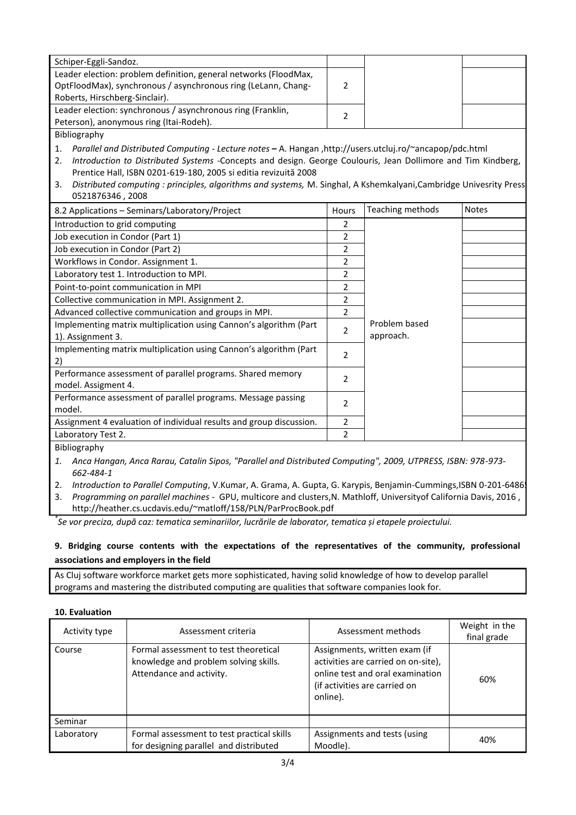| Schiper-Eggli-Sandoz.                                            |  |  |
|------------------------------------------------------------------|--|--|
| Leader election: problem definition, general networks (FloodMax, |  |  |
| OptFloodMax), synchronous / asynchronous ring (LeLann, Chang-    |  |  |
| Roberts, Hirschberg-Sinclair).                                   |  |  |
| Leader election: synchronous / asynchronous ring (Franklin,      |  |  |
| Peterson), anonymous ring (Itai-Rodeh).                          |  |  |
|                                                                  |  |  |

Bibliography

1. *Parallel and Distributed Computing - Lecture notes* **–** A. Hangan ,http://users.utcluj.ro/~ancapop/pdc.html

2. *Introduction to Distributed Systems* -Concepts and design. George Coulouris, Jean Dollimore and Tim Kindberg, Prentice Hall, ISBN 0201-619-180, 2005 si editia revizuită 2008

3. *Distributed computing : principles, algorithms and systems, M. Singhal, A Kshemkalyani,Cambridge Univesrity Press* 0521876346 , 2008

| 8.2 Applications - Seminars/Laboratory/Project                                         | Hours | Teaching methods           | <b>Notes</b> |
|----------------------------------------------------------------------------------------|-------|----------------------------|--------------|
| Introduction to grid computing                                                         | 2     |                            |              |
| Job execution in Condor (Part 1)                                                       | 2     |                            |              |
| Job execution in Condor (Part 2)                                                       | 2     |                            |              |
| Workflows in Condor. Assignment 1.                                                     | 2     |                            |              |
| Laboratory test 1. Introduction to MPI.                                                | 2     |                            |              |
| Point-to-point communication in MPI                                                    | 2     |                            |              |
| Collective communication in MPI. Assignment 2.                                         | 2     |                            |              |
| Advanced collective communication and groups in MPI.                                   | 2     |                            |              |
| Implementing matrix multiplication using Cannon's algorithm (Part<br>1). Assignment 3. | 2     | Problem based<br>approach. |              |
| Implementing matrix multiplication using Cannon's algorithm (Part<br>2)                | 2     |                            |              |
| Performance assessment of parallel programs. Shared memory<br>model. Assigment 4.      | 2     |                            |              |
| Performance assessment of parallel programs. Message passing<br>model.                 | 2     |                            |              |
| Assignment 4 evaluation of individual results and group discussion.                    | 2     |                            |              |
| Laboratory Test 2.                                                                     | 2     |                            |              |

Bibliography

- *1. Anca Hangan, Anca Rarau, Catalin Sipos, "Parallel and Distributed Computing", 2009, UTPRESS, ISBN: 978-973- 662-484-1*
- 2. *Introduction to Parallel Computing*, V.Kumar, A. Grama, A. Gupta, G. Karypis, Benjamin-Cummings, ISBN 0-201-6486

3. *Programming on parallel machines* - GPU, multicore and clusters,N. Mathloff, Universityof California Davis, 2016 , http://heather.cs.ucdavis.edu/~matloff/158/PLN/ParProcBook.pdf

*\* Se vor preciza, după caz: tematica seminariilor, lucrările de laborator, tematica și etapele proiectului.*

#### **9. Bridging course contents with the expectations of the representatives of the community, professional associations and employers in the field**

As Cluj software workforce market gets more sophisticated, having solid knowledge of how to develop parallel programs and mastering the distributed computing are qualities that software companies look for.

#### **10. Evaluation**

| Activity type | Assessment criteria                                                                                        | Assessment methods                                                                                                                                    | Weight in the<br>final grade |
|---------------|------------------------------------------------------------------------------------------------------------|-------------------------------------------------------------------------------------------------------------------------------------------------------|------------------------------|
| Course        | Formal assessment to test theoretical<br>knowledge and problem solving skills.<br>Attendance and activity. | Assignments, written exam (if<br>activities are carried on on-site),<br>online test and oral examination<br>(if activities are carried on<br>online). | 60%                          |
| Seminar       |                                                                                                            |                                                                                                                                                       |                              |
| Laboratory    | Formal assessment to test practical skills<br>for designing parallel and distributed                       | Assignments and tests (using<br>Moodle).                                                                                                              | 40%                          |